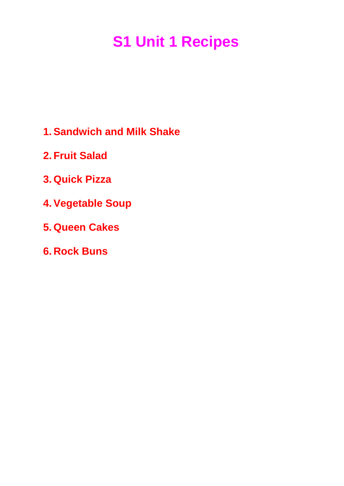# **S1 Unit 1 Recipes**

- **1. Sandwich and Milk Shake**
- **2. Fruit Salad**
- **3. Quick Pizza**
- **4. Vegetable Soup**
- **5. Queen Cakes**
- **6. Rock Buns**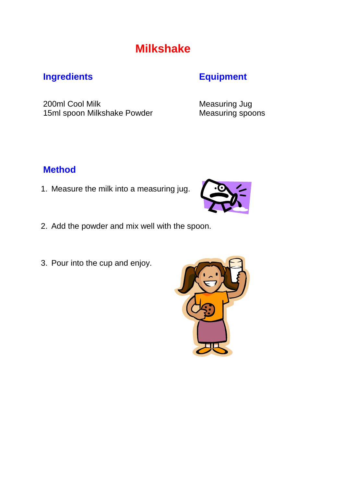## **Milkshake**

### **Ingredients Equipment**

200ml Cool Milk Measuring Jug 15ml spoon Milkshake Powder Measuring spoons

### **Method**

1. Measure the milk into a measuring jug.



- 2. Add the powder and mix well with the spoon.
- 3. Pour into the cup and enjoy.

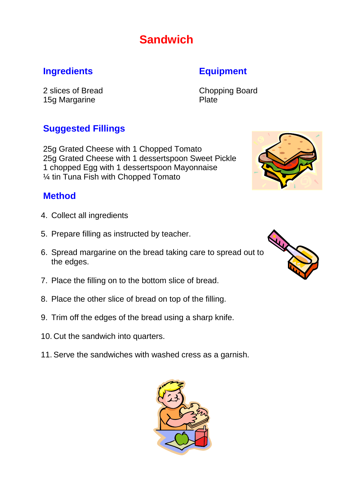## **Sandwich**

#### **Ingredients Equipment**

2 slices of Bread Chopping Board 15g Margarine **Plate** 

### **Suggested Fillings**

25g Grated Cheese with 1 Chopped Tomato 25g Grated Cheese with 1 dessertspoon Sweet Pickle 1 chopped Egg with 1 dessertspoon Mayonnaise ¼ tin Tuna Fish with Chopped Tomato

#### **Method**

- 4. Collect all ingredients
- 5. Prepare filling as instructed by teacher.
- 6. Spread margarine on the bread taking care to spread out to the edges.
- 7. Place the filling on to the bottom slice of bread.
- 8. Place the other slice of bread on top of the filling.
- 9. Trim off the edges of the bread using a sharp knife.
- 10. Cut the sandwich into quarters.
- 11.Serve the sandwiches with washed cress as a garnish.





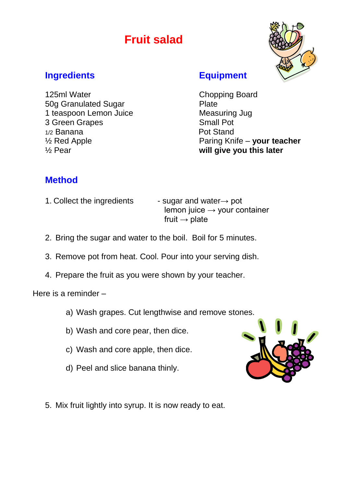## **Fruit salad**



#### **Ingredients Equipment**

125ml Water Chopping Board 50g Granulated Sugar **Plate** 1 teaspoon Lemon Juice Measuring Jug 3 Green Grapes Small Pot 1/2 Banana **Pot Stand** ½ Pear **will give you this later**

½ Red Apple Paring Knife – **your teacher**

### **Method**

1. Collect the ingredients  $\qquad \qquad$  - sugar and water $\rightarrow$  pot

lemon juice  $\rightarrow$  your container fruit  $\rightarrow$  plate

- 2. Bring the sugar and water to the boil. Boil for 5 minutes.
- 3. Remove pot from heat. Cool. Pour into your serving dish.
- 4. Prepare the fruit as you were shown by your teacher.

Here is a reminder –

- a) Wash grapes. Cut lengthwise and remove stones.
- b) Wash and core pear, then dice.
- c) Wash and core apple, then dice.
- d) Peel and slice banana thinly.



5. Mix fruit lightly into syrup. It is now ready to eat.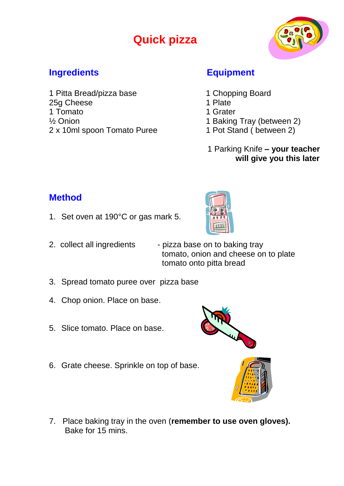## **Quick pizza**



#### **Ingredients Equipment**

1 Pitta Bread/pizza base 1 Chopping Board 25g Cheese 25g 25g Cheese 1 Tomato 1 Grater <sup>1/2</sup> Onion 1 Baking Tray (between 2) 2 x 10ml spoon Tomato Puree 1 Pot Stand ( between 2)

- 
- 
- 
- 
- 
- 1 Parking Knife **– your teacher will give you this later**

#### **Method**

- 1. Set oven at 190°C or gas mark 5.
- 
- 2. collect all ingredients pizza base on to baking tray tomato, onion and cheese on to plate tomato onto pitta bread
- 3. Spread tomato puree over pizza base
- 4. Chop onion. Place on base.
- 5. Slice tomato. Place on base.
- 6. Grate cheese. Sprinkle on top of base.





7. Place baking tray in the oven (**remember to use oven gloves).**  Bake for 15 mins.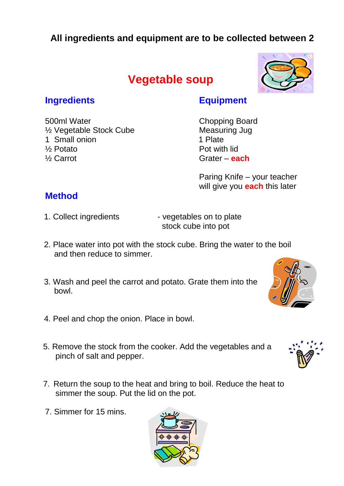### **All ingredients and equipment are to be collected between 2**

## **Vegetable soup**



#### **Ingredients Equipment**

500ml Water Chopping Board <sup>1/2</sup> Vegetable Stock Cube Measuring Jug 1 Small onion 1 Plate ½ Potato Pot with lid ½ Carrot Grater – **each**

Paring Knife – your teacher will give you **each** this later

#### **Method**

- 
- 1. Collect ingredients vegetables on to plate stock cube into pot
- 2. Place water into pot with the stock cube. Bring the water to the boil and then reduce to simmer.
- 3. Wash and peel the carrot and potato. Grate them into the bowl.
- 4. Peel and chop the onion. Place in bowl.
- 5. Remove the stock from the cooker. Add the vegetables and a pinch of salt and pepper.
- 7. Return the soup to the heat and bring to boil. Reduce the heat to simmer the soup. Put the lid on the pot.
- 7. Simmer for 15 mins.





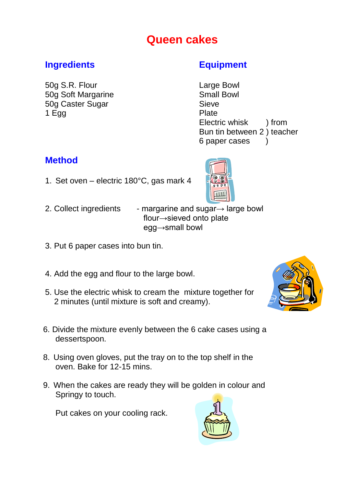## **Queen cakes**

#### **Ingredients Equipment**

50g S.R. Flour Large Bowl 50g Soft Margarine **SMALL SMALL SMALL BOWL** Small Bowl 50g Caster Sugar Sieve 1 Egg Plate

Electric whisk ) from Bun tin between 2 ) teacher 6 paper cases )

### **Method**

1. Set oven – electric 180°C, gas mark 4



- 2. Collect ingredients margarine and sugar→ large bowl flour→sieved onto plate egg→small bowl
- 3. Put 6 paper cases into bun tin.
- 4. Add the egg and flour to the large bowl.
- 5. Use the electric whisk to cream the mixture together for 2 minutes (until mixture is soft and creamy).
- 6. Divide the mixture evenly between the 6 cake cases using a dessertspoon.
- 8. Using oven gloves, put the tray on to the top shelf in the oven. Bake for 12-15 mins.
- 9. When the cakes are ready they will be golden in colour and Springy to touch.

Put cakes on your cooling rack.